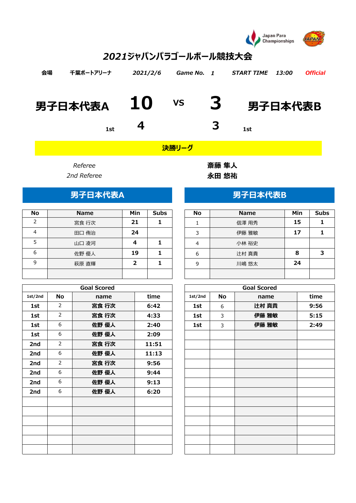

# *1 2021ジャパンパラゴールボール競技大会 会場 千葉ポートアリーナ 2021/2/6 Game No. START TIME 13:00 Official* **男子日本代表A 10 3 男子日本代表B VS 1st 4 3 1st**

*決勝リーグ*

| <b>No</b> | <b>Name</b> | Min | <b>Subs</b> | <b>No</b> | <b>Name</b> | Min | Sul |
|-----------|-------------|-----|-------------|-----------|-------------|-----|-----|
| ∍         | 宮食 行次       | 21  |             |           | 信澤 用秀       | 15  |     |
| 4         | 田口 侑治       | 24  |             | 3         | 伊藤 雅敏       | 17  |     |
|           | 山口 凌河       |     |             | 4         | 小林 裕史       |     |     |
| 6         | 佐野 優人       | 19  |             | 6         | 辻村 真貴       | 8   | 7   |
| 9         | 萩原 直輝       |     |             | 9         | 川嶋 悠太       | 24  |     |
|           |             |     |             |           |             |     |     |

|         |                | <b>Goal Scored</b> |       |         |    | <b>Goal Scored</b> |      |
|---------|----------------|--------------------|-------|---------|----|--------------------|------|
| 1st/2nd | <b>No</b>      | name               | time  | 1st/2nd | No | name               | time |
| 1st     | $\overline{2}$ | 宮食 行次              | 6:42  | 1st     | 6  | 辻村 真貴              | 9:56 |
| 1st     | $\overline{2}$ | 宮食 行次              | 4:33  | 1st     | 3  | 伊藤 雅敏              | 5:15 |
| 1st     | 6              | 佐野 優人              | 2:40  | 1st     | 3  | 伊藤 雅敏              | 2:49 |
| 1st     | 6              | 佐野 優人              | 2:09  |         |    |                    |      |
| 2nd     | $\overline{2}$ | 宮食 行次              | 11:51 |         |    |                    |      |
| 2nd     | 6              | 佐野 優人              | 11:13 |         |    |                    |      |
| 2nd     | $\overline{2}$ | 宮食 行次              | 9:56  |         |    |                    |      |
| 2nd     | 6              | 佐野 優人              | 9:44  |         |    |                    |      |
| 2nd     | 6              | 佐野 優人              | 9:13  |         |    |                    |      |
| 2nd     | 6              | 佐野 優人              | 6:20  |         |    |                    |      |
|         |                |                    |       |         |    |                    |      |
|         |                |                    |       |         |    |                    |      |
|         |                |                    |       |         |    |                    |      |
|         |                |                    |       |         |    |                    |      |
|         |                |                    |       |         |    |                    |      |
|         |                |                    |       |         |    |                    |      |
|         |                |                    |       |         |    |                    |      |

*Referee* **斎藤 隼人** *2nd Referee* **永田 悠祐**

## 男子日本代表A **DECISION ARTICAL SECTION ARTICAL SECTION ARTICAL SECTION ARTICAL SECTION**

| No | <b>Name</b> | Min | <b>Subs</b> |
|----|-------------|-----|-------------|
|    | 信澤 用秀       | 15  |             |
| 3  | 伊藤 雅敏       | 17  | 1           |
|    | 小林 裕史       |     |             |
| 6  | 辻村 真貴       | 8   | 3           |
| 9  | 川嶋 悠太       | 24  |             |
|    |             |     |             |

| <b>Goal Scored</b> |       |         |    | <b>Goal Scored</b> |      |
|--------------------|-------|---------|----|--------------------|------|
| name               | time  | 1st/2nd | No | name               | time |
| 宮食 行次              | 6:42  | 1st     | 6  | 辻村 真貴              | 9:56 |
| 宮食 行次              | 4:33  | 1st     | 3  | 伊藤 雅敏              | 5:15 |
| 佐野 優人              | 2:40  | 1st     | 3  | 伊藤 雅敏              | 2:49 |
| 佐野 優人              | 2:09  |         |    |                    |      |
| 宮食 行次              | 11:51 |         |    |                    |      |
| 佐野 優人              | 11:13 |         |    |                    |      |
| 宮食 行次              | 9:56  |         |    |                    |      |
| 佐野 優人              | 9:44  |         |    |                    |      |
| 佐野 優人              | 9:13  |         |    |                    |      |
| 佐野 優人              | 6:20  |         |    |                    |      |
|                    |       |         |    |                    |      |
|                    |       |         |    |                    |      |
|                    |       |         |    |                    |      |
|                    |       |         |    |                    |      |
|                    |       |         |    |                    |      |
|                    |       |         |    |                    |      |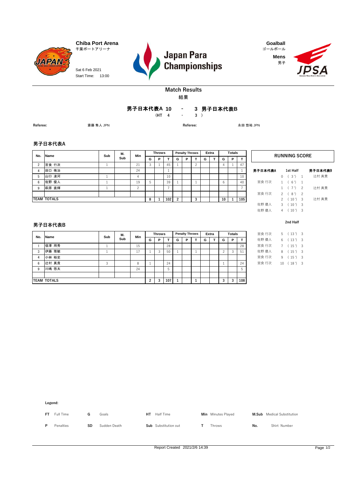**JAPAN** Sat 6 Feb 2021 Start Time: 13:00



**Mens** 男子



#### **Match Results** 結果

**10 3** 男子日本代表**B -** 男子日本代表**A**

**(HT 4 3 ) -**

**Referee:** 斎藤 隼人 JPN **Referee:** 永田 悠祐 JPN

#### **男子日本代表A**

| No.      | Name               | Sub | М.  | Min |   | <b>Throws</b> |     |                | <b>Penalty Throws</b> |   |   | Extra |    | <b>Totals</b> |     |         | <b>RUNNING SC</b>                |  |
|----------|--------------------|-----|-----|-----|---|---------------|-----|----------------|-----------------------|---|---|-------|----|---------------|-----|---------|----------------------------------|--|
|          |                    |     | Sub |     | G | P             |     | G              | P                     |   | G |       | G  | P             |     |         |                                  |  |
| $\Omega$ | 宮食 行次              |     |     | 21  |   |               | 45  |                |                       |   |   |       |    |               | 47  |         |                                  |  |
|          | 田口 侑治              |     |     | 24  |   |               |     |                |                       |   |   |       |    |               |     | 男子日本代表A | 1st Half                         |  |
| 5        | 山口 凌河              |     |     | 4   |   |               | 10  |                |                       |   |   |       |    |               | 10  |         | 3')<br>$\blacksquare$            |  |
| 6        | 佐野 優人              |     |     | 19  |   |               | 39  |                |                       |   |   |       | 6  |               | 40  | 宮食 行次   | (6')<br>$\overline{\phantom{0}}$ |  |
| -9       | 萩原 直輝              |     |     |     |   |               |     |                |                       |   |   |       |    |               |     |         | 7') 2                            |  |
|          |                    |     |     |     |   |               |     |                |                       |   |   |       |    |               |     | 宮食 行次   | 8')<br>- 2<br>$\mathcal{P}$      |  |
|          | <b>TEAM TOTALS</b> |     |     |     | 8 |               | 102 | $\overline{2}$ |                       | 3 |   |       | 10 |               | 105 |         | $10')$ 3                         |  |
|          |                    |     |     |     |   |               |     |                |                       |   |   |       |    |               |     | /十服/车 1 | 2(10)                            |  |

宮食 行次 2 (8') 2 **8 1 102 2 3 10 1 105** 2 ( 10 ') 3 3 ( 10 ') 3  $4 ( 10') 3$ 佐野 優人 佐野 優人 辻村 真貴  $RUNNING SCORE$ 辻村 真貴 辻村 真貴 **1st Half** 男子日本代表B 男子日本代表A

#### **男子日本代表B**

| No.            | <b>Name</b>        | Sub     | М.  | Min |                | <b>Throws</b> |                  |   | <b>Penalty Throws</b> |   | Extra |   | <b>Totals</b> |     | 宮食 行次 | 5 <sub>1</sub> | $(13')$ 3   |  |
|----------------|--------------------|---------|-----|-----|----------------|---------------|------------------|---|-----------------------|---|-------|---|---------------|-----|-------|----------------|-------------|--|
|                |                    |         | Sub |     | G              | P             |                  | G | P                     | G |       | G | P.            |     | 佐野 優人 | 6              | $(13')$ 3   |  |
|                | 信澤 用秀              |         |     | 15  |                |               | 28               |   |                       |   |       |   |               | 28  | 宮食 行次 | $7^{\circ}$    | $(15')$ 3   |  |
| 3              | 伊藤 雅敏              |         |     | 17  |                |               | 50               |   |                       |   |       |   | 3             | 51  | 佐野 優人 | 8              | $(15')$ 3   |  |
| $\overline{4}$ | 小林 裕史              |         |     |     |                |               |                  |   |                       |   |       |   |               |     | 宮食 行次 | 9              | $(15')$ 3   |  |
| 6              | 辻村 真貴              | $\circ$ |     | 8   |                |               | 24               |   |                       |   |       |   |               | 24  | 宮食 行次 |                | $10(18')$ 3 |  |
| 9              | 川嶋 悠太              |         |     | 24  |                |               |                  |   |                       |   |       |   |               | 5   |       |                |             |  |
|                |                    |         |     |     |                |               |                  |   |                       |   |       |   |               |     |       |                |             |  |
|                | <b>TEAM TOTALS</b> |         |     |     | $\overline{2}$ | 3             | 107 <sub>l</sub> |   |                       |   |       |   | 3             | 108 |       |                |             |  |

**2nd Half**

| 宮食 行次 | 5. | (13')   | 3 |
|-------|----|---------|---|
| 佐野 優人 | 6. | (13')   | 3 |
| 宮食 行次 | 7  | (15')   | 3 |
| 佐野 優人 | 8. | (15')   | 3 |
| 宮食 行次 | 9  | (15')   | 3 |
| 宮食 行次 |    | 10(18') | 3 |
|       |    |         |   |

**Legend:**

**FT** Full Time **G** Goals **HT** Half Time **Min** Minutes Played **M.Sub** Medical Substitution **P** Penalties **SD** Sudden Death **Sub** Substitution out **T** Throws **No.** Shirt Number

Report Created 2021/2/6 14:39